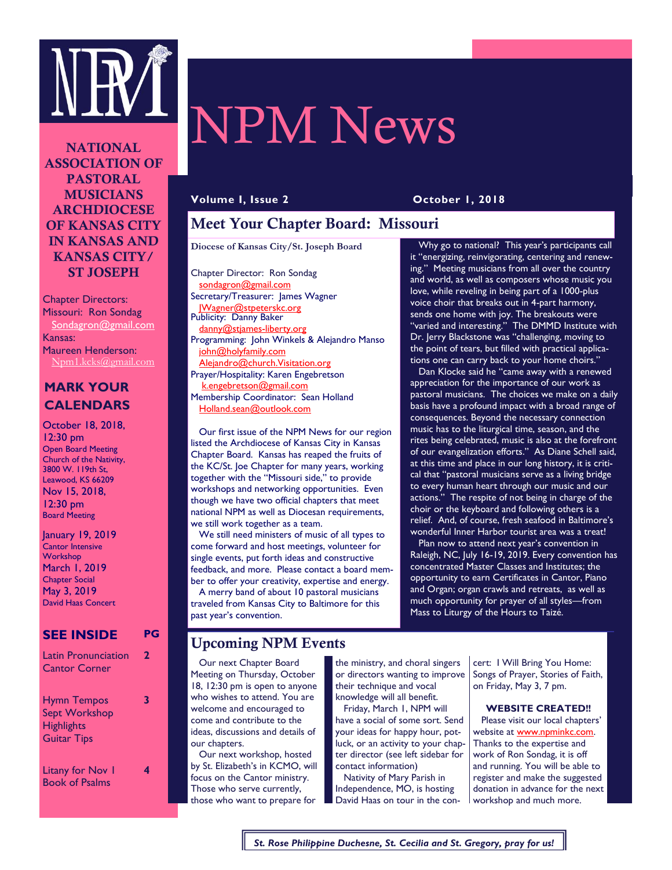

**NATIONAL ASSOCIATION OF PASTORAL MUSICIANS ARCHDIOCESE OF KANSAS CITY IN KANSAS AND KANSAS CITY/ ST JOSEPH** 

Chapter Directors: Missouri: Ron Sondag Sondagron@gmail.com Kansas: Maureen Henderson: Npm1.kcks@gmail.com

## **MARK YOUR CALENDARS**

October 18, 2018, 12:30 pm Open Board Meeting Church of the Nativity, 3800 W. 119th St, Leawood, KS 66209 Nov 15, 2018, 12:30 pm Board Meeting

January 19, 2019 Cantor Intensive **Workshop** March 1, 2019 Chapter Social May 3, 2019 David Haas Concert

#### **SEE INSIDE PG**

| <b>Latin Pronunciation</b><br><b>Cantor Corner</b><br><b>Hymn Tempos</b><br><b>Sept Workshop</b><br><b>Highlights</b><br><b>Guitar Tips</b> |  |
|---------------------------------------------------------------------------------------------------------------------------------------------|--|
|                                                                                                                                             |  |

# NPM News

**Volume I, Issue 2 October 1, 2018** 

# **Meet Your Chapter Board: Missouri**

**Diocese of Kansas City/St. Joseph Board**

Chapter Director: Ron Sondag sondagron@gmail.com Secretary/Treasurer: James Wagner JWagner@stpeterskc.org Publicity: Danny Baker danny@stjames-liberty.org Programming: John Winkels & Alejandro Manso john@holyfamily.com Alejandro@church.Visitation.org Prayer/Hospitality: Karen Engebretson k.engebretson@gmail.com Membership Coordinator: Sean Holland Holland.sean@outlook.com

 Our first issue of the NPM News for our region listed the Archdiocese of Kansas City in Kansas Chapter Board. Kansas has reaped the fruits of the KC/St. Joe Chapter for many years, working together with the "Missouri side," to provide workshops and networking opportunities. Even though we have two official chapters that meet national NPM as well as Diocesan requirements, we still work together as a team.

 We still need ministers of music of all types to come forward and host meetings, volunteer for single events, put forth ideas and constructive feedback, and more. Please contact a board member to offer your creativity, expertise and energy. A merry band of about 10 pastoral musicians traveled from Kansas City to Baltimore for this past year's convention.

 Why go to national? This year's participants call it "energizing, reinvigorating, centering and renewing." Meeting musicians from all over the country and world, as well as composers whose music you love, while reveling in being part of a 1000-plus voice choir that breaks out in 4-part harmony, sends one home with joy. The breakouts were "varied and interesting." The DMMD Institute with Dr. Jerry Blackstone was "challenging, moving to the point of tears, but filled with practical applications one can carry back to your home choirs.'

 Dan Klocke said he "came away with a renewed appreciation for the importance of our work as pastoral musicians. The choices we make on a daily basis have a profound impact with a broad range of consequences. Beyond the necessary connection music has to the liturgical time, season, and the rites being celebrated, music is also at the forefront of our evangelization efforts." As Diane Schell said, at this time and place in our long history, it is critical that "pastoral musicians serve as a living bridge to every human heart through our music and our actions." The respite of not being in charge of the choir or the keyboard and following others is a relief. And, of course, fresh seafood in Baltimore's wonderful Inner Harbor tourist area was a treat!

 Plan now to attend next year's convention in Raleigh, NC, July 16-19, 2019. Every convention has concentrated Master Classes and Institutes; the opportunity to earn Certificates in Cantor, Piano and Organ; organ crawls and retreats, as well as much opportunity for prayer of all styles—from Mass to Liturgy of the Hours to Taizé.

## **Upcoming NPM Events**

 Our next Chapter Board Meeting on Thursday, October 18, 12:30 pm is open to anyone who wishes to attend. You are welcome and encouraged to come and contribute to the ideas, discussions and details of our chapters.

 Our next workshop, hosted by St. Elizabeth's in KCMO, will focus on the Cantor ministry. Those who serve currently, those who want to prepare for

the ministry, and choral singers or directors wanting to improve their technique and vocal knowledge will all benefit.

 Friday, March 1, NPM will have a social of some sort. Send your ideas for happy hour, potluck, or an activity to your chapter director (see left sidebar for contact information)

 Nativity of Mary Parish in Independence, MO, is hosting David Haas on tour in the con-

cert: I Will Bring You Home: Songs of Prayer, Stories of Faith, on Friday, May 3, 7 pm.

#### **WEBSITE CREATED!!**

 Please visit our local chapters' website at www.npminkc.com. Thanks to the expertise and work of Ron Sondag, it is off and running. You will be able to register and make the suggested donation in advance for the next workshop and much more.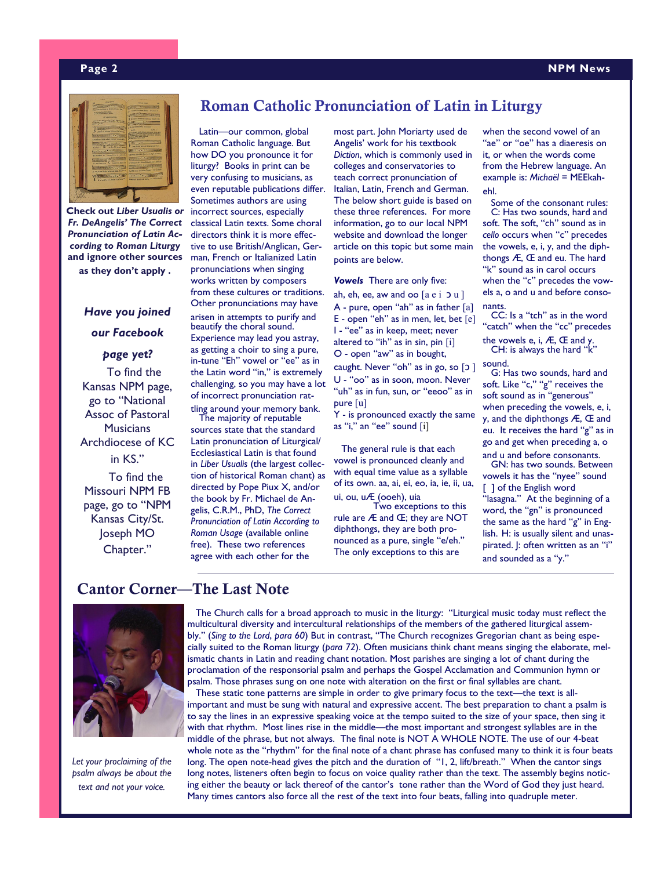#### **Page 2 NPM News**



**Check out** *Liber Usualis or Fr. DeAngelis' The Correct Pronunciation of Latin According to Roman Liturgy*  **and ignore other sources as they don't apply .**

# *Have you joined our Facebook*

*page yet?*  To find the Kansas NPM page, go to "National Assoc of Pastoral **Musicians** Archdiocese of KC in KS." To find the

Missouri NPM FB page, go to "NPM Kansas City/St. Joseph MO Chapter."

# **Roman Catholic Pronunciation of Latin in Liturgy**

 Latin—our common, global Roman Catholic language. But how DO you pronounce it for liturgy? Books in print can be very confusing to musicians, as even reputable publications differ. Sometimes authors are using incorrect sources, especially classical Latin texts. Some choral directors think it is more effective to use British/Anglican, German, French or Italianized Latin pronunciations when singing works written by composers from these cultures or traditions. Other pronunciations may have arisen in attempts to purify and beautify the choral sound. Experience may lead you astray, as getting a choir to sing a pure, in-tune "Eh" vowel or "ee" as in the Latin word "in," is extremely challenging, so you may have a lot of incorrect pronunciation rat-

tling around your memory bank. The majority of reputable sources state that the standard Latin pronunciation of Liturgical/ Ecclesiastical Latin is that found in *Liber Usualis* (the largest collection of historical Roman chant) as directed by Pope Piux X, and/or the book by Fr. Michael de Angelis, C.R.M., PhD, *The Correct Pronunciation of Latin According to Roman Usage* (available online free). These two references agree with each other for the

most part. John Moriarty used de Angelis' work for his textbook *Diction*, which is commonly used in colleges and conservatories to teach correct pronunciation of Italian, Latin, French and German. The below short guide is based on these three references. For more information, go to our local NPM website and download the longer article on this topic but some main points are below.

*Vowels* There are only five:

ah, eh, ee, aw and oo  $[a e i]$ A - pure, open "ah" as in father [a] E - open "eh" as in men, let, bet [e] I - "ee" as in keep, meet; never altered to "ih" as in sin, pin [i] O - open "aw" as in bought,

caught. Never "oh" as in go, so [2] U - "oo" as in soon, moon. Never "uh" as in fun, sun, or "eeoo" as in pure [u]

Y - is pronounced exactly the same as "i," an "ee" sound [i]

 The general rule is that each vowel is pronounced cleanly and with equal time value as a syllable of its own. aa, ai, ei, eo, ia, ie, ii, ua, ui, ou, uÆ (ooeh), uia

 Two exceptions to this rule are Æ and Œ; they are NOT diphthongs, they are both pronounced as a pure, single "e/eh." The only exceptions to this are

when the second vowel of an "ae" or "oe" has a diaeresis on it, or when the words come from the Hebrew language. An example is: Michaël = MEEkahehl.

 Some of the consonant rules: C: Has two sounds, hard and soft. The soft, "ch" sound as in *cello* occurs when "c" precedes the vowels, e, i, y, and the diphthongs Æ, Œ and eu. The hard "k" sound as in carol occurs when the "c" precedes the vowels a, o and u and before consonants.

 CC: Is a "tch" as in the word "catch" when the "cc" precedes

the vowels e, i,  $AE$ ,  $E$  and y. CH: is always the hard "k" sound.

 G: Has two sounds, hard and soft. Like "c," "g" receives the soft sound as in "generous" when preceding the vowels, e, i, y, and the diphthongs Æ, Œ and eu. It receives the hard "g" as in go and get when preceding a, o

and u and before consonants. GN: has two sounds. Between vowels it has the "nyee" sound [ ] of the English word "lasagna." At the beginning of a word, the "gn" is pronounced the same as the hard "g" in English. H: is usually silent and unaspirated. |: often written as an "i" and sounded as a "y."

# **Cantor Corner—The Last Note**



*Let your proclaiming of the psalm always be about the text and not your voice.* 

 The Church calls for a broad approach to music in the liturgy: "Liturgical music today must reflect the multicultural diversity and intercultural relationships of the members of the gathered liturgical assembly." (*Sing to the Lord*, *para 60*) But in contrast, "The Church recognizes Gregorian chant as being especially suited to the Roman liturgy (*para 72*). Often musicians think chant means singing the elaborate, melismatic chants in Latin and reading chant notation. Most parishes are singing a lot of chant during the proclamation of the responsorial psalm and perhaps the Gospel Acclamation and Communion hymn or psalm. Those phrases sung on one note with alteration on the first or final syllables are chant.

These static tone patterns are simple in order to give primary focus to the text—the text is allimportant and must be sung with natural and expressive accent. The best preparation to chant a psalm is to say the lines in an expressive speaking voice at the tempo suited to the size of your space, then sing it with that rhythm. Most lines rise in the middle—the most important and strongest syllables are in the middle of the phrase, but not always. The final note is NOT A WHOLE NOTE. The use of our 4-beat whole note as the "rhythm" for the final note of a chant phrase has confused many to think it is four beats long. The open note-head gives the pitch and the duration of "1, 2, lift/breath." When the cantor sings long notes, listeners often begin to focus on voice quality rather than the text. The assembly begins noticing either the beauty or lack thereof of the cantor's tone rather than the Word of God they just heard. Many times cantors also force all the rest of the text into four beats, falling into quadruple meter.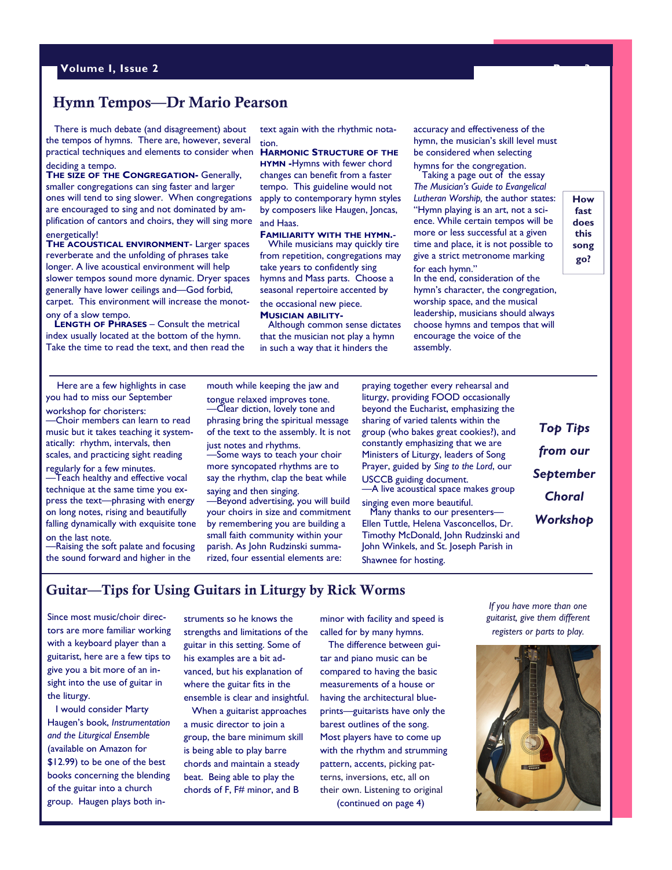#### **Hymn Tempos—Dr Mario Pearson**

 There is much debate (and disagreement) about the tempos of hymns. There are, however, several practical techniques and elements to consider when deciding a tempo.

**THE SIZE OF THE CONGREGATION-** Generally, smaller congregations can sing faster and larger ones will tend to sing slower. When congregations are encouraged to sing and not dominated by amplification of cantors and choirs, they will sing more energetically!

**THE ACOUSTICAL ENVIRONMENT**- Larger spaces reverberate and the unfolding of phrases take longer. A live acoustical environment will help slower tempos sound more dynamic. Dryer spaces generally have lower ceilings and—God forbid, carpet. This environment will increase the monotony of a slow tempo.

 **LENGTH OF PHRASES** – Consult the metrical index usually located at the bottom of the hymn. Take the time to read the text, and then read the text again with the rhythmic notation.

#### **HARMONIC STRUCTURE OF THE**

**HYMN -**Hymns with fewer chord changes can benefit from a faster tempo. This guideline would not apply to contemporary hymn styles by composers like Haugen, Joncas, and Haas.

**FAMILIARITY WITH THE HYMN.**- While musicians may quickly tire from repetition, congregations may take years to confidently sing hymns and Mass parts. Choose a seasonal repertoire accented by the occasional new piece.

#### **MUSICIAN ABILITY-**

Although common sense dictates that the musician not play a hymn in such a way that it hinders the

accuracy and effectiveness of the hymn, the musician's skill level must be considered when selecting hymns for the congregation.

 Taking a page out of the essay *The Musician's Guide to Evangelical Lutheran Worship,* the author states: "Hymn playing is an art, not a science. While certain tempos will be more or less successful at a given time and place, it is not possible to give a strict metronome marking

for each hymn." In the end, consideration of the hymn's character, the congregation, worship space, and the musical leadership, musicians should always choose hymns and tempos that will encourage the voice of the assembly.

**How fast does this song go?** 

 Here are a few highlights in case you had to miss our September

workshop for choristers: —Choir members can learn to read music but it takes teaching it systematically: rhythm, intervals, then scales, and practicing sight reading regularly for a few minutes.

—Teach healthy and effective vocal technique at the same time you express the text—phrasing with energy on long notes, rising and beautifully falling dynamically with exquisite tone on the last note.

—Raising the soft palate and focusing the sound forward and higher in the

mouth while keeping the jaw and tongue relaxed improves tone. —Clear diction, lovely tone and phrasing bring the spiritual message of the text to the assembly. It is not just notes and rhythms.

—Some ways to teach your choir more syncopated rhythms are to say the rhythm, clap the beat while saying and then singing.

—Beyond advertising, you will build your choirs in size and commitment by remembering you are building a small faith community within your parish. As John Rudzinski summarized, four essential elements are:

praying together every rehearsal and liturgy, providing FOOD occasionally beyond the Eucharist, emphasizing the sharing of varied talents within the group (who bakes great cookies?), and constantly emphasizing that we are Ministers of Liturgy, leaders of Song Prayer, guided by *Sing to the Lord*, our USCCB guiding document. —A live acoustical space makes group singing even more beautiful. Many thanks to our presenters— Ellen Tuttle, Helena Vasconcellos, Dr.

Timothy McDonald, John Rudzinski and John Winkels, and St. Joseph Parish in Shawnee for hosting.

*Top Tips from our September Choral Workshop* 

#### **Guitar—Tips for Using Guitars in Liturgy by Rick Worms**

Since most music/choir directors are more familiar working with a keyboard player than a guitarist, here are a few tips to give you a bit more of an insight into the use of guitar in the liturgy.

 I would consider Marty Haugen's book, *Instrumentation and the Liturgical Ensemble*  (available on Amazon for \$12.99) to be one of the best books concerning the blending of the guitar into a church group. Haugen plays both instruments so he knows the strengths and limitations of the guitar in this setting. Some of his examples are a bit advanced, but his explanation of where the guitar fits in the ensemble is clear and insightful.

 When a guitarist approaches a music director to join a group, the bare minimum skill is being able to play barre chords and maintain a steady beat. Being able to play the chords of F, F# minor, and B

minor with facility and speed is called for by many hymns.

 The difference between guitar and piano music can be compared to having the basic measurements of a house or having the architectural blueprints—guitarists have only the barest outlines of the song. Most players have to come up with the rhythm and strumming pattern, accents, picking patterns, inversions, etc, all on their own. Listening to original (continued on page 4)

*If you have more than one guitarist, give them different registers or parts to play.*